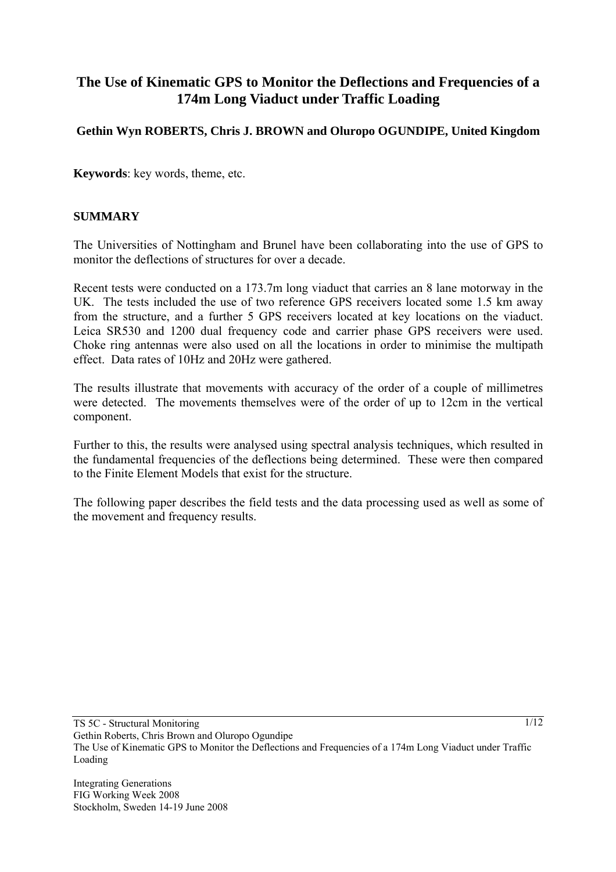# **The Use of Kinematic GPS to Monitor the Deflections and Frequencies of a 174m Long Viaduct under Traffic Loading**

# **Gethin Wyn ROBERTS, Chris J. BROWN and Oluropo OGUNDIPE, United Kingdom**

**Keywords**: key words, theme, etc.

#### **SUMMARY**

The Universities of Nottingham and Brunel have been collaborating into the use of GPS to monitor the deflections of structures for over a decade.

Recent tests were conducted on a 173.7m long viaduct that carries an 8 lane motorway in the UK. The tests included the use of two reference GPS receivers located some 1.5 km away from the structure, and a further 5 GPS receivers located at key locations on the viaduct. Leica SR530 and 1200 dual frequency code and carrier phase GPS receivers were used. Choke ring antennas were also used on all the locations in order to minimise the multipath effect. Data rates of 10Hz and 20Hz were gathered.

The results illustrate that movements with accuracy of the order of a couple of millimetres were detected. The movements themselves were of the order of up to 12cm in the vertical component.

Further to this, the results were analysed using spectral analysis techniques, which resulted in the fundamental frequencies of the deflections being determined. These were then compared to the Finite Element Models that exist for the structure.

The following paper describes the field tests and the data processing used as well as some of the movement and frequency results.

Integrating Generations FIG Working Week 2008 Stockholm, Sweden 14-19 June 2008 1/12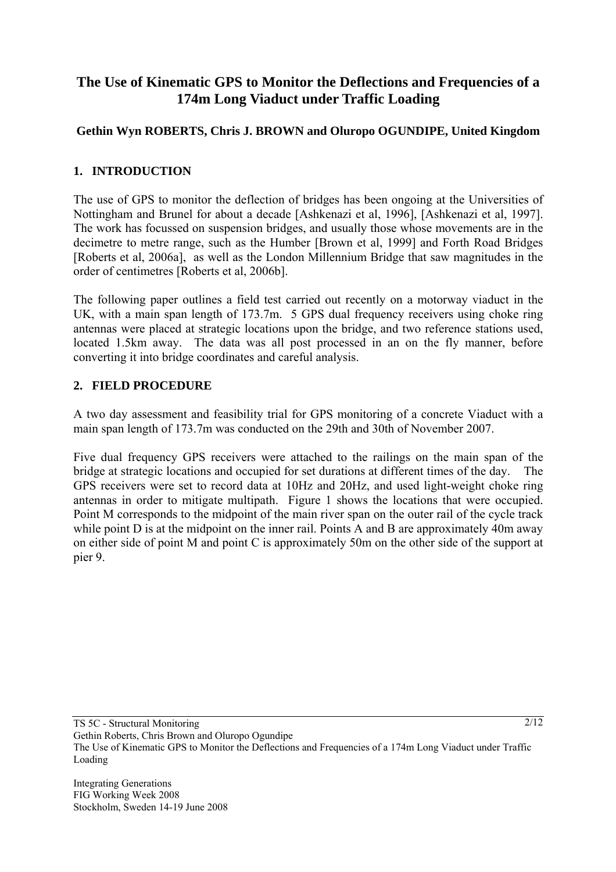# **The Use of Kinematic GPS to Monitor the Deflections and Frequencies of a 174m Long Viaduct under Traffic Loading**

# **Gethin Wyn ROBERTS, Chris J. BROWN and Oluropo OGUNDIPE, United Kingdom**

## **1. INTRODUCTION**

The use of GPS to monitor the deflection of bridges has been ongoing at the Universities of Nottingham and Brunel for about a decade [Ashkenazi et al, 1996], [Ashkenazi et al, 1997]. The work has focussed on suspension bridges, and usually those whose movements are in the decimetre to metre range, such as the Humber [Brown et al, 1999] and Forth Road Bridges [Roberts et al, 2006a], as well as the London Millennium Bridge that saw magnitudes in the order of centimetres [Roberts et al, 2006b].

The following paper outlines a field test carried out recently on a motorway viaduct in the UK, with a main span length of 173.7m. 5 GPS dual frequency receivers using choke ring antennas were placed at strategic locations upon the bridge, and two reference stations used, located 1.5km away. The data was all post processed in an on the fly manner, before converting it into bridge coordinates and careful analysis.

## **2. FIELD PROCEDURE**

A two day assessment and feasibility trial for GPS monitoring of a concrete Viaduct with a main span length of 173.7m was conducted on the 29th and 30th of November 2007.

Five dual frequency GPS receivers were attached to the railings on the main span of the bridge at strategic locations and occupied for set durations at different times of the day. The GPS receivers were set to record data at 10Hz and 20Hz, and used light-weight choke ring antennas in order to mitigate multipath. Figure 1 shows the locations that were occupied. Point M corresponds to the midpoint of the main river span on the outer rail of the cycle track while point D is at the midpoint on the inner rail. Points A and B are approximately 40m away on either side of point M and point C is approximately 50m on the other side of the support at pier 9.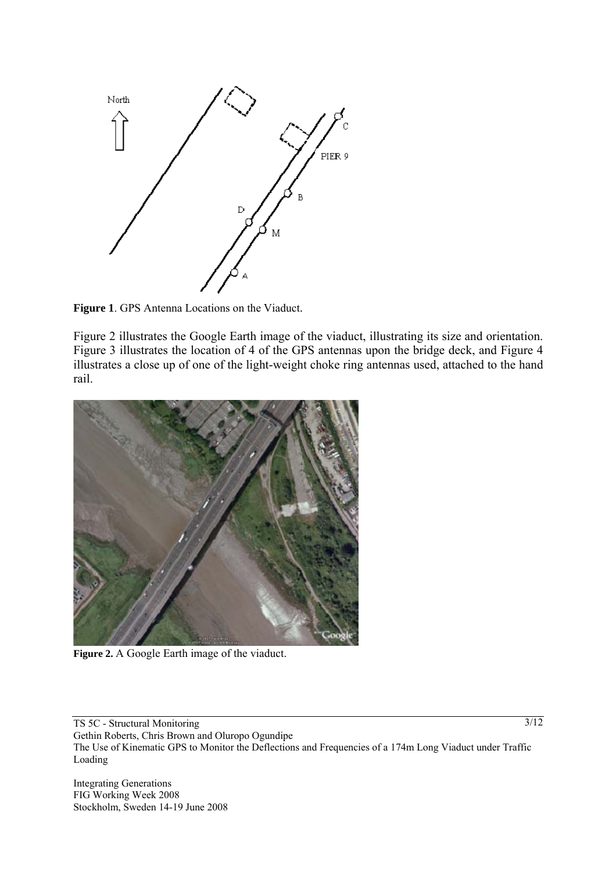

**Figure 1**. GPS Antenna Locations on the Viaduct.

Figure 2 illustrates the Google Earth image of the viaduct, illustrating its size and orientation. Figure 3 illustrates the location of 4 of the GPS antennas upon the bridge deck, and Figure 4 illustrates a close up of one of the light-weight choke ring antennas used, attached to the hand rail.



**Figure 2.** A Google Earth image of the viaduct.

TS 5C - Structural Monitoring Gethin Roberts, Chris Brown and Oluropo Ogundipe The Use of Kinematic GPS to Monitor the Deflections and Frequencies of a 174m Long Viaduct under Traffic Loading

Integrating Generations FIG Working Week 2008 Stockholm, Sweden 14-19 June 2008  $\overline{\frac{3}{12}}$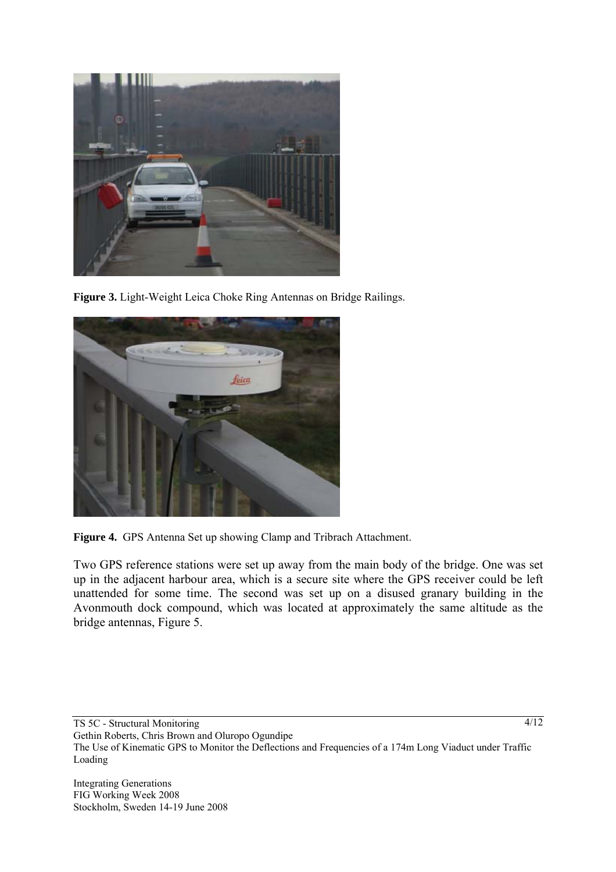

**Figure 3.** Light-Weight Leica Choke Ring Antennas on Bridge Railings.





Two GPS reference stations were set up away from the main body of the bridge. One was set up in the adjacent harbour area, which is a secure site where the GPS receiver could be left unattended for some time. The second was set up on a disused granary building in the Avonmouth dock compound, which was located at approximately the same altitude as the bridge antennas, Figure 5.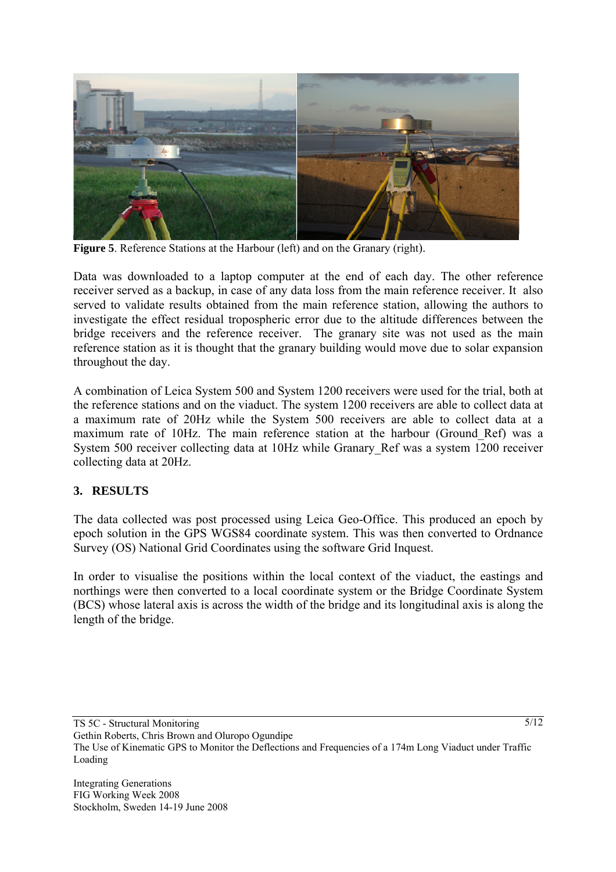

**Figure 5**. Reference Stations at the Harbour (left) and on the Granary (right).

Data was downloaded to a laptop computer at the end of each day. The other reference receiver served as a backup, in case of any data loss from the main reference receiver. It also served to validate results obtained from the main reference station, allowing the authors to investigate the effect residual tropospheric error due to the altitude differences between the bridge receivers and the reference receiver. The granary site was not used as the main reference station as it is thought that the granary building would move due to solar expansion throughout the day.

A combination of Leica System 500 and System 1200 receivers were used for the trial, both at the reference stations and on the viaduct. The system 1200 receivers are able to collect data at a maximum rate of 20Hz while the System 500 receivers are able to collect data at a maximum rate of 10Hz. The main reference station at the harbour (Ground\_Ref) was a System 500 receiver collecting data at 10Hz while Granary\_Ref was a system 1200 receiver collecting data at 20Hz.

## **3. RESULTS**

The data collected was post processed using Leica Geo-Office. This produced an epoch by epoch solution in the GPS WGS84 coordinate system. This was then converted to Ordnance Survey (OS) National Grid Coordinates using the software Grid Inquest.

In order to visualise the positions within the local context of the viaduct, the eastings and northings were then converted to a local coordinate system or the Bridge Coordinate System (BCS) whose lateral axis is across the width of the bridge and its longitudinal axis is along the length of the bridge.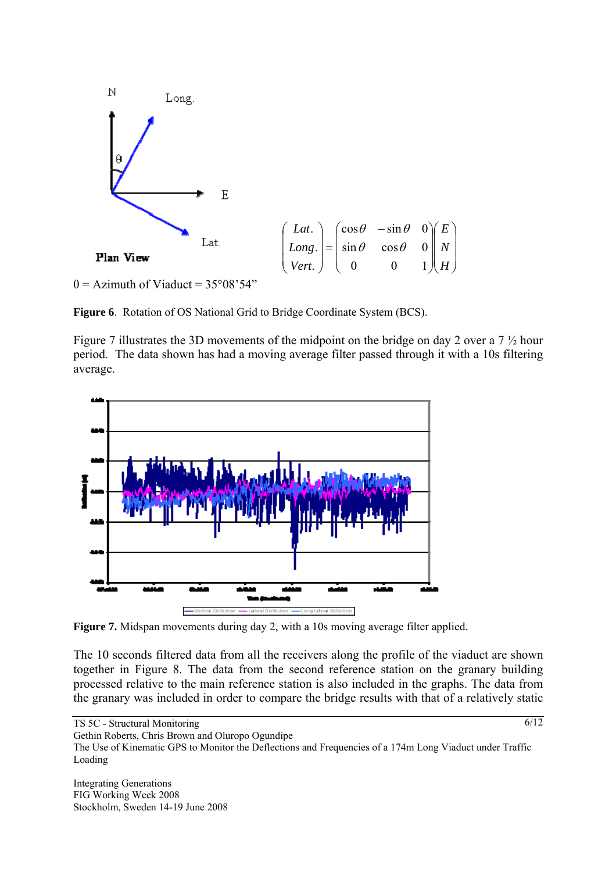

 $\theta$  = Azimuth of Viaduct = 35°08'54"

**Figure 6**. Rotation of OS National Grid to Bridge Coordinate System (BCS).

Figure 7 illustrates the 3D movements of the midpoint on the bridge on day 2 over a 7 ½ hour period. The data shown has had a moving average filter passed through it with a 10s filtering average.



**Figure 7.** Midspan movements during day 2, with a 10s moving average filter applied.

The 10 seconds filtered data from all the receivers along the profile of the viaduct are shown together in Figure 8. The data from the second reference station on the granary building processed relative to the main reference station is also included in the graphs. The data from the granary was included in order to compare the bridge results with that of a relatively static

TS 5C - Structural Monitoring

Gethin Roberts, Chris Brown and Oluropo Ogundipe

Integrating Generations FIG Working Week 2008 Stockholm, Sweden 14-19 June 2008  $\sqrt{6/12}$ 

The Use of Kinematic GPS to Monitor the Deflections and Frequencies of a 174m Long Viaduct under Traffic Loading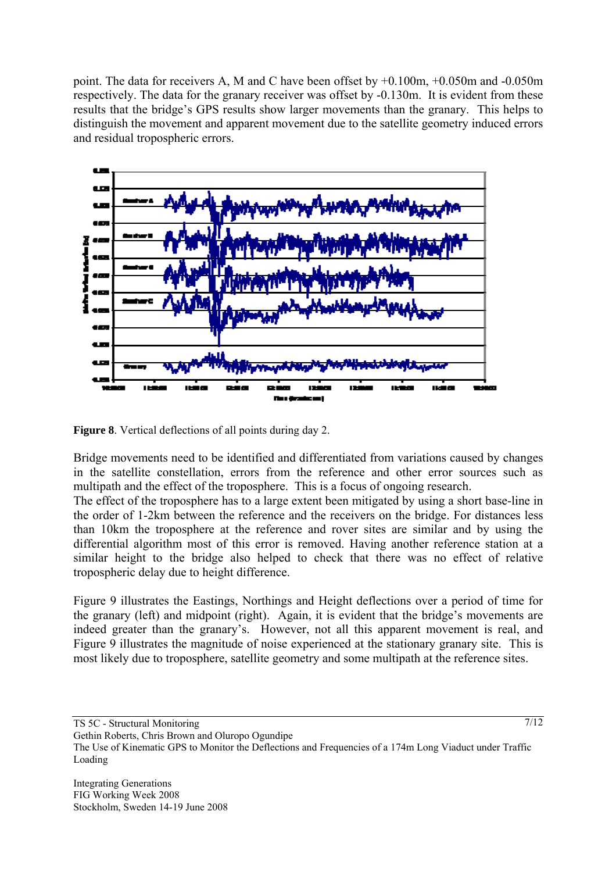point. The data for receivers A, M and C have been offset by +0.100m, +0.050m and -0.050m respectively. The data for the granary receiver was offset by -0.130m. It is evident from these results that the bridge's GPS results show larger movements than the granary. This helps to distinguish the movement and apparent movement due to the satellite geometry induced errors and residual tropospheric errors.



**Figure 8**. Vertical deflections of all points during day 2.

Bridge movements need to be identified and differentiated from variations caused by changes in the satellite constellation, errors from the reference and other error sources such as multipath and the effect of the troposphere. This is a focus of ongoing research.

The effect of the troposphere has to a large extent been mitigated by using a short base-line in the order of 1-2km between the reference and the receivers on the bridge. For distances less than 10km the troposphere at the reference and rover sites are similar and by using the differential algorithm most of this error is removed. Having another reference station at a similar height to the bridge also helped to check that there was no effect of relative tropospheric delay due to height difference.

Figure 9 illustrates the Eastings, Northings and Height deflections over a period of time for the granary (left) and midpoint (right). Again, it is evident that the bridge's movements are indeed greater than the granary's. However, not all this apparent movement is real, and Figure 9 illustrates the magnitude of noise experienced at the stationary granary site. This is most likely due to troposphere, satellite geometry and some multipath at the reference sites.

TS 5C - Structural Monitoring Gethin Roberts, Chris Brown and Oluropo Ogundipe The Use of Kinematic GPS to Monitor the Deflections and Frequencies of a 174m Long Viaduct under Traffic Loading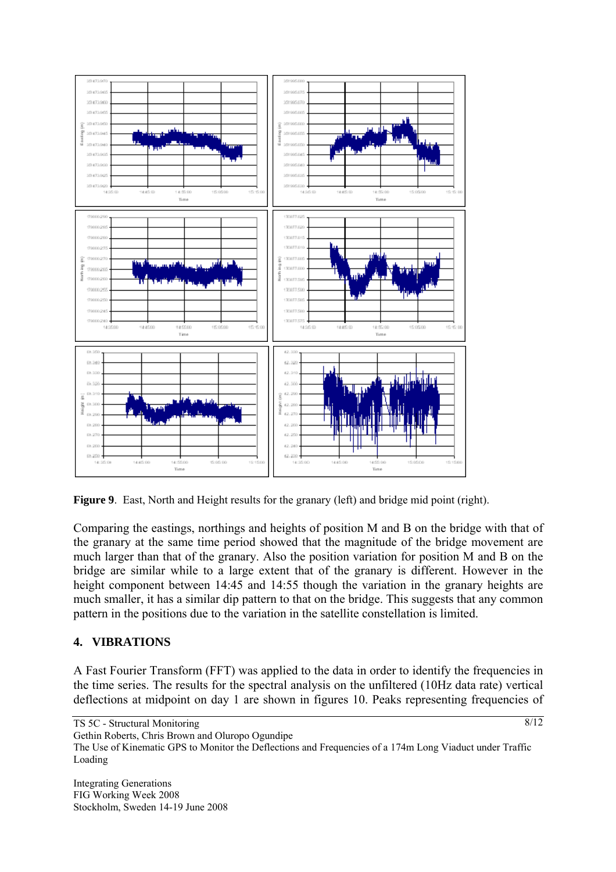

**Figure 9**. East, North and Height results for the granary (left) and bridge mid point (right).

Comparing the eastings, northings and heights of position M and B on the bridge with that of the granary at the same time period showed that the magnitude of the bridge movement are much larger than that of the granary. Also the position variation for position M and B on the bridge are similar while to a large extent that of the granary is different. However in the height component between 14:45 and 14:55 though the variation in the granary heights are much smaller, it has a similar dip pattern to that on the bridge. This suggests that any common pattern in the positions due to the variation in the satellite constellation is limited.

## **4. VIBRATIONS**

A Fast Fourier Transform (FFT) was applied to the data in order to identify the frequencies in the time series. The results for the spectral analysis on the unfiltered (10Hz data rate) vertical deflections at midpoint on day 1 are shown in figures 10. Peaks representing frequencies of

TS 5C - Structural Monitoring

Gethin Roberts, Chris Brown and Oluropo Ogundipe

The Use of Kinematic GPS to Monitor the Deflections and Frequencies of a 174m Long Viaduct under Traffic Loading

Integrating Generations FIG Working Week 2008 Stockholm, Sweden 14-19 June 2008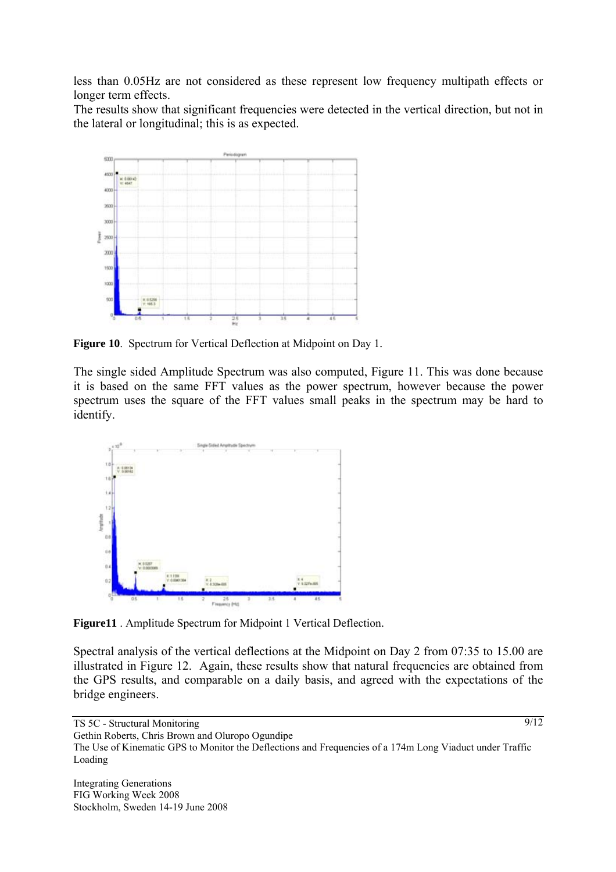less than 0.05Hz are not considered as these represent low frequency multipath effects or longer term effects.

The results show that significant frequencies were detected in the vertical direction, but not in the lateral or longitudinal; this is as expected.



**Figure 10**. Spectrum for Vertical Deflection at Midpoint on Day 1.

The single sided Amplitude Spectrum was also computed, Figure 11. This was done because it is based on the same FFT values as the power spectrum, however because the power spectrum uses the square of the FFT values small peaks in the spectrum may be hard to identify.



**Figure11** . Amplitude Spectrum for Midpoint 1 Vertical Deflection.

Spectral analysis of the vertical deflections at the Midpoint on Day 2 from 07:35 to 15.00 are illustrated in Figure 12. Again, these results show that natural frequencies are obtained from the GPS results, and comparable on a daily basis, and agreed with the expectations of the bridge engineers.

TS 5C - Structural Monitoring

Gethin Roberts, Chris Brown and Oluropo Ogundipe

The Use of Kinematic GPS to Monitor the Deflections and Frequencies of a 174m Long Viaduct under Traffic Loading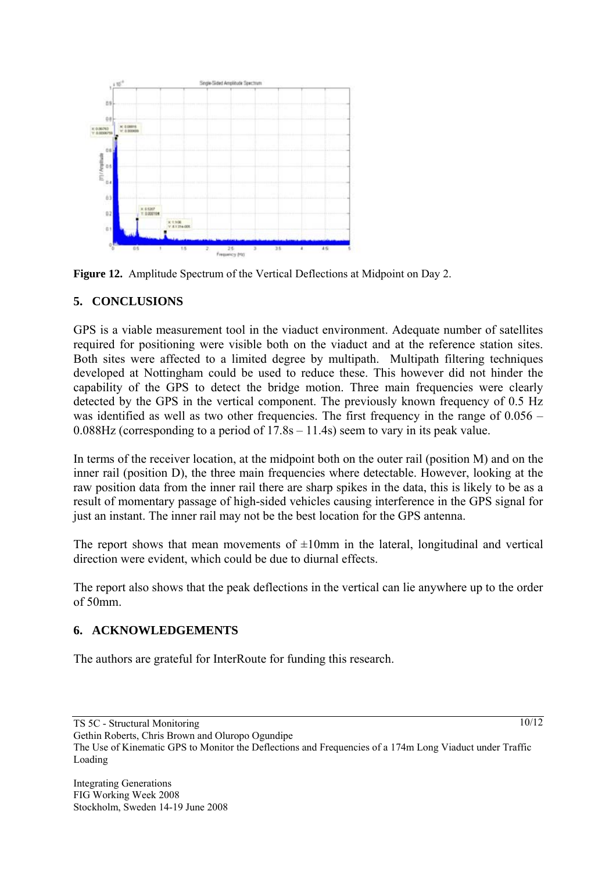

**Figure 12.** Amplitude Spectrum of the Vertical Deflections at Midpoint on Day 2.

#### **5. CONCLUSIONS**

GPS is a viable measurement tool in the viaduct environment. Adequate number of satellites required for positioning were visible both on the viaduct and at the reference station sites. Both sites were affected to a limited degree by multipath. Multipath filtering techniques developed at Nottingham could be used to reduce these. This however did not hinder the capability of the GPS to detect the bridge motion. Three main frequencies were clearly detected by the GPS in the vertical component. The previously known frequency of 0.5 Hz was identified as well as two other frequencies. The first frequency in the range of  $0.056 -$ 0.088Hz (corresponding to a period of 17.8s – 11.4s) seem to vary in its peak value.

In terms of the receiver location, at the midpoint both on the outer rail (position M) and on the inner rail (position D), the three main frequencies where detectable. However, looking at the raw position data from the inner rail there are sharp spikes in the data, this is likely to be as a result of momentary passage of high-sided vehicles causing interference in the GPS signal for just an instant. The inner rail may not be the best location for the GPS antenna.

The report shows that mean movements of  $\pm 10$ mm in the lateral, longitudinal and vertical direction were evident, which could be due to diurnal effects.

The report also shows that the peak deflections in the vertical can lie anywhere up to the order of 50mm.

## **6. ACKNOWLEDGEMENTS**

The authors are grateful for InterRoute for funding this research.

 $10/12$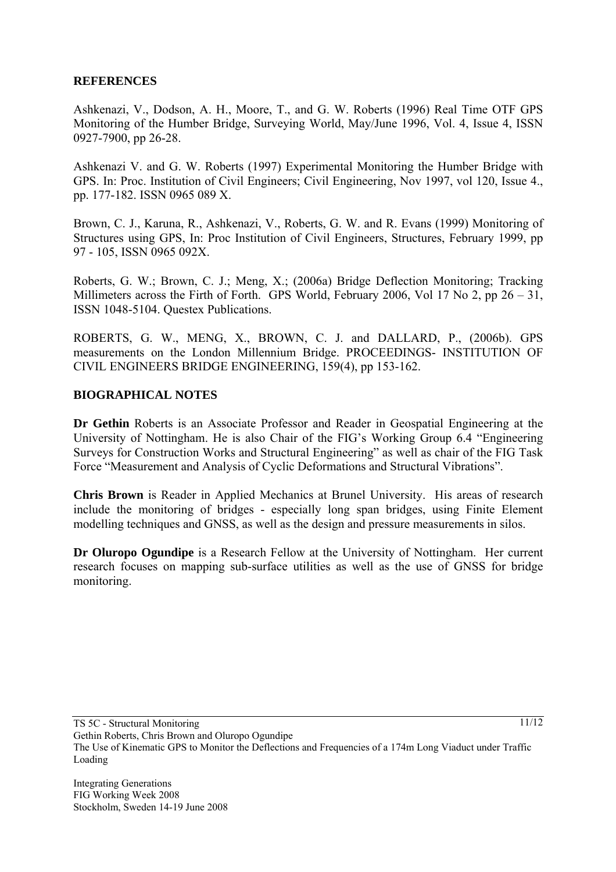#### **REFERENCES**

Ashkenazi, V., Dodson, A. H., Moore, T., and G. W. Roberts (1996) Real Time OTF GPS Monitoring of the Humber Bridge, Surveying World, May/June 1996, Vol. 4, Issue 4, ISSN 0927-7900, pp 26-28.

Ashkenazi V. and G. W. Roberts (1997) Experimental Monitoring the Humber Bridge with GPS. In: Proc. Institution of Civil Engineers; Civil Engineering, Nov 1997, vol 120, Issue 4., pp. 177-182. ISSN 0965 089 X.

Brown, C. J., Karuna, R., Ashkenazi, V., Roberts, G. W. and R. Evans (1999) Monitoring of Structures using GPS, In: Proc Institution of Civil Engineers, Structures, February 1999, pp 97 - 105, ISSN 0965 092X.

Roberts, G. W.; Brown, C. J.; Meng, X.; (2006a) Bridge Deflection Monitoring; Tracking Millimeters across the Firth of Forth. GPS World, February 2006, Vol 17 No 2, pp 26 – 31, ISSN 1048-5104. Questex Publications.

ROBERTS, G. W., MENG, X., BROWN, C. J. and DALLARD, P., (2006b). GPS measurements on the London Millennium Bridge. PROCEEDINGS- INSTITUTION OF CIVIL ENGINEERS BRIDGE ENGINEERING, 159(4), pp 153-162.

#### **BIOGRAPHICAL NOTES**

**Dr Gethin** Roberts is an Associate Professor and Reader in Geospatial Engineering at the University of Nottingham. He is also Chair of the FIG's Working Group 6.4 "Engineering Surveys for Construction Works and Structural Engineering" as well as chair of the FIG Task Force "Measurement and Analysis of Cyclic Deformations and Structural Vibrations".

**Chris Brown** is Reader in Applied Mechanics at Brunel University. His areas of research include the monitoring of bridges - especially long span bridges, using Finite Element modelling techniques and GNSS, as well as the design and pressure measurements in silos.

**Dr Oluropo Ogundipe** is a Research Fellow at the University of Nottingham. Her current research focuses on mapping sub-surface utilities as well as the use of GNSS for bridge monitoring.

11/12